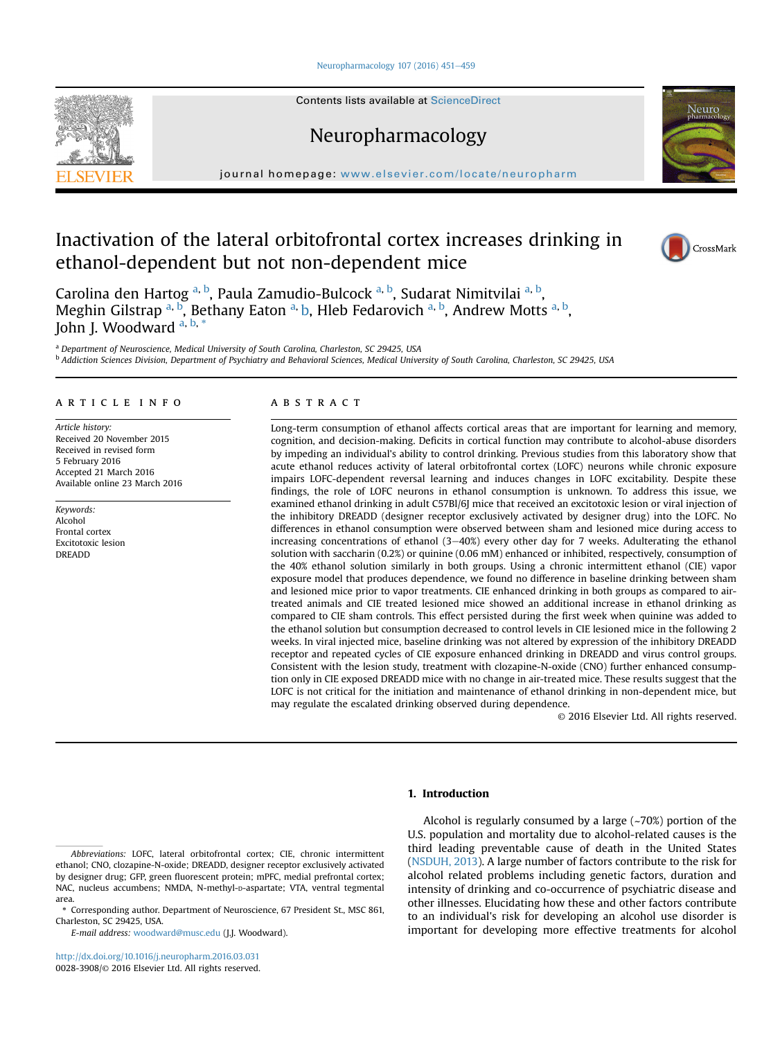[Neuropharmacology 107 \(2016\) 451](http://dx.doi.org/10.1016/j.neuropharm.2016.03.031)-[459](http://dx.doi.org/10.1016/j.neuropharm.2016.03.031)

Contents lists available at ScienceDirect

Neuropharmacology



# Inactivation of the lateral orbitofrontal cortex increases drinking in ethanol-dependent but not non-dependent mice





Carolina den Hartog <sup>a, b</sup>, Paula Zamudio-Bulcock <sup>a, b</sup>, Sudarat Nimitvilai <sup>a, b</sup>, Meghin Gilstrap <sup>a, b</sup>, Bethany Eaton <sup>a,</sup> b, Hleb Fedarovich <sup>a, b</sup>, Andrew Motts <sup>a, b</sup>, John J. Woodward <sup>a, b, \*</sup>

<sup>a</sup> Department of Neuroscience, Medical University of South Carolina, Charleston, SC 29425, USA <sup>b</sup> Addiction Sciences Division, Department of Psychiatry and Behavioral Sciences, Medical University of South Carolina, Charleston, SC 29425, USA

## article info

Article history: Received 20 November 2015 Received in revised form 5 February 2016 Accepted 21 March 2016 Available online 23 March 2016

Keywords: Alcohol Frontal cortex Excitotoxic lesion DREADD

# **ABSTRACT**

Long-term consumption of ethanol affects cortical areas that are important for learning and memory, cognition, and decision-making. Deficits in cortical function may contribute to alcohol-abuse disorders by impeding an individual's ability to control drinking. Previous studies from this laboratory show that acute ethanol reduces activity of lateral orbitofrontal cortex (LOFC) neurons while chronic exposure impairs LOFC-dependent reversal learning and induces changes in LOFC excitability. Despite these findings, the role of LOFC neurons in ethanol consumption is unknown. To address this issue, we examined ethanol drinking in adult C57Bl/6J mice that received an excitotoxic lesion or viral injection of the inhibitory DREADD (designer receptor exclusively activated by designer drug) into the LOFC. No differences in ethanol consumption were observed between sham and lesioned mice during access to increasing concentrations of ethanol  $(3-40%)$  every other day for 7 weeks. Adulterating the ethanol solution with saccharin (0.2%) or quinine (0.06 mM) enhanced or inhibited, respectively, consumption of the 40% ethanol solution similarly in both groups. Using a chronic intermittent ethanol (CIE) vapor exposure model that produces dependence, we found no difference in baseline drinking between sham and lesioned mice prior to vapor treatments. CIE enhanced drinking in both groups as compared to airtreated animals and CIE treated lesioned mice showed an additional increase in ethanol drinking as compared to CIE sham controls. This effect persisted during the first week when quinine was added to the ethanol solution but consumption decreased to control levels in CIE lesioned mice in the following 2 weeks. In viral injected mice, baseline drinking was not altered by expression of the inhibitory DREADD receptor and repeated cycles of CIE exposure enhanced drinking in DREADD and virus control groups. Consistent with the lesion study, treatment with clozapine-N-oxide (CNO) further enhanced consumption only in CIE exposed DREADD mice with no change in air-treated mice. These results suggest that the LOFC is not critical for the initiation and maintenance of ethanol drinking in non-dependent mice, but may regulate the escalated drinking observed during dependence.

© 2016 Elsevier Ltd. All rights reserved.

# 1. Introduction

E-mail address: [woodward@musc.edu](mailto:woodward@musc.edu) (J.J. Woodward).

Alcohol is regularly consumed by a large  $(-70%)$  portion of the U.S. population and mortality due to alcohol-related causes is the third leading preventable cause of death in the United States ([NSDUH, 2013](#page--1-0)). A large number of factors contribute to the risk for alcohol related problems including genetic factors, duration and intensity of drinking and co-occurrence of psychiatric disease and other illnesses. Elucidating how these and other factors contribute to an individual's risk for developing an alcohol use disorder is important for developing more effective treatments for alcohol

Abbreviations: LOFC, lateral orbitofrontal cortex; CIE, chronic intermittent ethanol; CNO, clozapine-N-oxide; DREADD, designer receptor exclusively activated by designer drug; GFP, green fluorescent protein; mPFC, medial prefrontal cortex; NAC, nucleus accumbens; NMDA, N-methyl-p-aspartate; VTA, ventral tegmental area.

<sup>\*</sup> Corresponding author. Department of Neuroscience, 67 President St., MSC 861, Charleston, SC 29425, USA.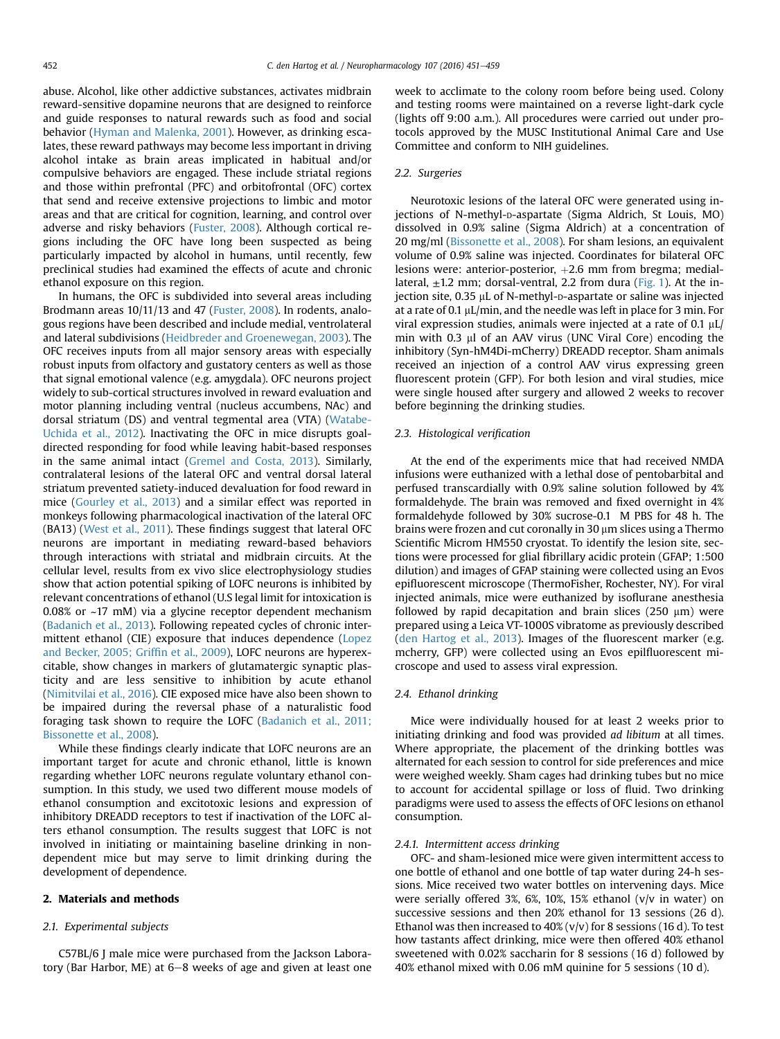abuse. Alcohol, like other addictive substances, activates midbrain reward-sensitive dopamine neurons that are designed to reinforce and guide responses to natural rewards such as food and social behavior [\(Hyman and Malenka, 2001\)](#page--1-0). However, as drinking escalates, these reward pathways may become less important in driving alcohol intake as brain areas implicated in habitual and/or compulsive behaviors are engaged. These include striatal regions and those within prefrontal (PFC) and orbitofrontal (OFC) cortex that send and receive extensive projections to limbic and motor areas and that are critical for cognition, learning, and control over adverse and risky behaviors ([Fuster, 2008](#page--1-0)). Although cortical regions including the OFC have long been suspected as being particularly impacted by alcohol in humans, until recently, few preclinical studies had examined the effects of acute and chronic ethanol exposure on this region.

In humans, the OFC is subdivided into several areas including Brodmann areas 10/11/13 and 47 [\(Fuster, 2008](#page--1-0)). In rodents, analogous regions have been described and include medial, ventrolateral and lateral subdivisions ([Heidbreder and Groenewegan, 2003\)](#page--1-0). The OFC receives inputs from all major sensory areas with especially robust inputs from olfactory and gustatory centers as well as those that signal emotional valence (e.g. amygdala). OFC neurons project widely to sub-cortical structures involved in reward evaluation and motor planning including ventral (nucleus accumbens, NAc) and dorsal striatum (DS) and ventral tegmental area (VTA) ([Watabe-](#page--1-0)[Uchida et al., 2012](#page--1-0)). Inactivating the OFC in mice disrupts goaldirected responding for food while leaving habit-based responses in the same animal intact [\(Gremel and Costa, 2013\)](#page--1-0). Similarly, contralateral lesions of the lateral OFC and ventral dorsal lateral striatum prevented satiety-induced devaluation for food reward in mice ([Gourley et al., 2013\)](#page--1-0) and a similar effect was reported in monkeys following pharmacological inactivation of the lateral OFC (BA13) ([West et al., 2011](#page--1-0)). These findings suggest that lateral OFC neurons are important in mediating reward-based behaviors through interactions with striatal and midbrain circuits. At the cellular level, results from ex vivo slice electrophysiology studies show that action potential spiking of LOFC neurons is inhibited by relevant concentrations of ethanol (U.S legal limit for intoxication is 0.08% or ~17 mM) via a glycine receptor dependent mechanism ([Badanich et al., 2013](#page--1-0)). Following repeated cycles of chronic intermittent ethanol (CIE) exposure that induces dependence ([Lopez](#page--1-0) [and Becker, 2005; Grif](#page--1-0)fin et al., 2009), LOFC neurons are hyperexcitable, show changes in markers of glutamatergic synaptic plasticity and are less sensitive to inhibition by acute ethanol ([Nimitvilai et al., 2016\)](#page--1-0). CIE exposed mice have also been shown to be impaired during the reversal phase of a naturalistic food foraging task shown to require the LOFC ([Badanich et al., 2011;](#page--1-0) [Bissonette et al., 2008](#page--1-0)).

While these findings clearly indicate that LOFC neurons are an important target for acute and chronic ethanol, little is known regarding whether LOFC neurons regulate voluntary ethanol consumption. In this study, we used two different mouse models of ethanol consumption and excitotoxic lesions and expression of inhibitory DREADD receptors to test if inactivation of the LOFC alters ethanol consumption. The results suggest that LOFC is not involved in initiating or maintaining baseline drinking in nondependent mice but may serve to limit drinking during the development of dependence.

## 2. Materials and methods

#### 2.1. Experimental subjects

C57BL/6 J male mice were purchased from the Jackson Laboratory (Bar Harbor, ME) at  $6-8$  weeks of age and given at least one week to acclimate to the colony room before being used. Colony and testing rooms were maintained on a reverse light-dark cycle (lights off 9:00 a.m.). All procedures were carried out under protocols approved by the MUSC Institutional Animal Care and Use Committee and conform to NIH guidelines.

# 2.2. Surgeries

Neurotoxic lesions of the lateral OFC were generated using injections of N-methyl-p-aspartate (Sigma Aldrich, St Louis, MO) dissolved in 0.9% saline (Sigma Aldrich) at a concentration of 20 mg/ml ([Bissonette et al., 2008\)](#page--1-0). For sham lesions, an equivalent volume of 0.9% saline was injected. Coordinates for bilateral OFC lesions were: anterior-posterior,  $+2.6$  mm from bregma; mediallateral,  $\pm$ 1.2 mm; dorsal-ventral, 2.2 from dura ([Fig. 1\)](#page--1-0). At the injection site,  $0.35 \mu L$  of N-methyl-p-aspartate or saline was injected at a rate of 0.1  $\mu$ L/min, and the needle was left in place for 3 min. For viral expression studies, animals were injected at a rate of 0.1  $\mu$ L/ min with 0.3 µl of an AAV virus (UNC Viral Core) encoding the inhibitory (Syn-hM4Di-mCherry) DREADD receptor. Sham animals received an injection of a control AAV virus expressing green fluorescent protein (GFP). For both lesion and viral studies, mice were single housed after surgery and allowed 2 weeks to recover before beginning the drinking studies.

#### 2.3. Histological verification

At the end of the experiments mice that had received NMDA infusions were euthanized with a lethal dose of pentobarbital and perfused transcardially with 0.9% saline solution followed by 4% formaldehyde. The brain was removed and fixed overnight in 4% formaldehyde followed by 30% sucrose-0.1 M PBS for 48 h. The brains were frozen and cut coronally in 30  $\mu$ m slices using a Thermo Scientific Microm HM550 cryostat. To identify the lesion site, sections were processed for glial fibrillary acidic protein (GFAP; 1:500 dilution) and images of GFAP staining were collected using an Evos epifluorescent microscope (ThermoFisher, Rochester, NY). For viral injected animals, mice were euthanized by isoflurane anesthesia followed by rapid decapitation and brain slices (250  $\mu$ m) were prepared using a Leica VT-1000S vibratome as previously described ([den Hartog et al., 2013](#page--1-0)). Images of the fluorescent marker (e.g. mcherry, GFP) were collected using an Evos epilfluorescent microscope and used to assess viral expression.

## 2.4. Ethanol drinking

Mice were individually housed for at least 2 weeks prior to initiating drinking and food was provided ad libitum at all times. Where appropriate, the placement of the drinking bottles was alternated for each session to control for side preferences and mice were weighed weekly. Sham cages had drinking tubes but no mice to account for accidental spillage or loss of fluid. Two drinking paradigms were used to assess the effects of OFC lesions on ethanol consumption.

#### 2.4.1. Intermittent access drinking

OFC- and sham-lesioned mice were given intermittent access to one bottle of ethanol and one bottle of tap water during 24-h sessions. Mice received two water bottles on intervening days. Mice were serially offered 3%, 6%, 10%, 15% ethanol (v/v in water) on successive sessions and then 20% ethanol for 13 sessions (26 d). Ethanol was then increased to  $40\%$  (v/v) for 8 sessions (16 d). To test how tastants affect drinking, mice were then offered 40% ethanol sweetened with 0.02% saccharin for 8 sessions (16 d) followed by 40% ethanol mixed with 0.06 mM quinine for 5 sessions (10 d).